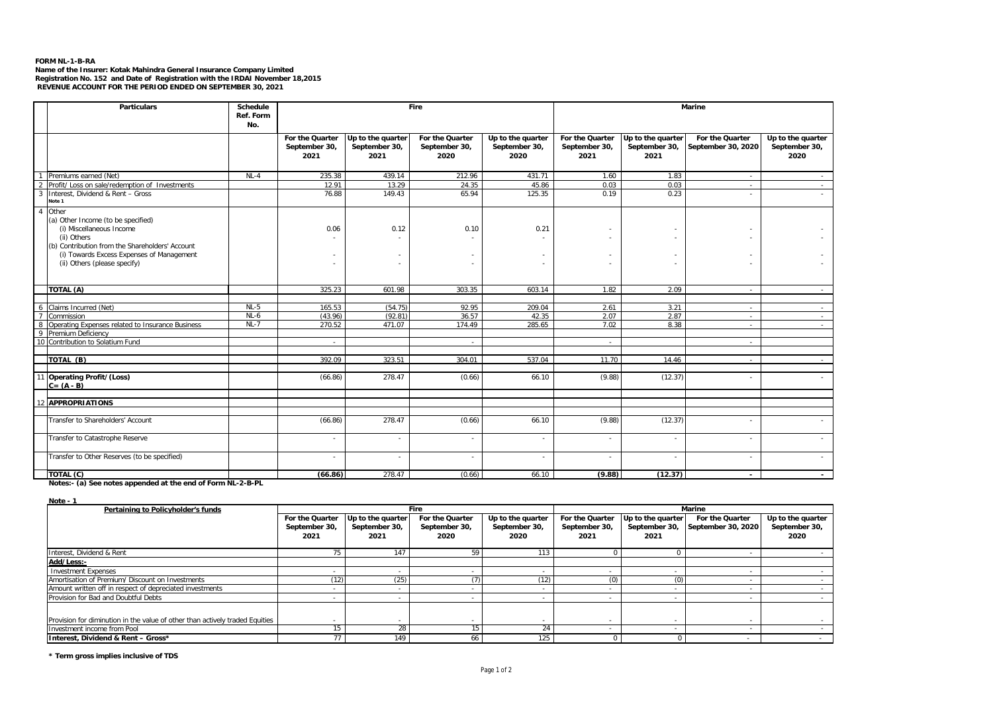## **FORM NL-1-B-RA**

Name of the Insurer: Kotak Mahindra General Insurance Company Limited<br>Registration No. 152 and Date of Registration with the IRDAI November 18,2015<br>REVENUE ACCOUNT FOR THE PERIOD ENDED ON SEPTEMBER 30, 2021

|                     | <b>Particulars</b>                                                                                                                                                                                                     | Schedule<br>Ref. Form<br>No. | Fire                                     |                                            |                                          |                                            |                                          | <b>Marine</b>                              |                                       |                                            |
|---------------------|------------------------------------------------------------------------------------------------------------------------------------------------------------------------------------------------------------------------|------------------------------|------------------------------------------|--------------------------------------------|------------------------------------------|--------------------------------------------|------------------------------------------|--------------------------------------------|---------------------------------------|--------------------------------------------|
|                     |                                                                                                                                                                                                                        |                              | For the Quarter<br>September 30,<br>2021 | Up to the quarter<br>September 30,<br>2021 | For the Quarter<br>September 30,<br>2020 | Up to the quarter<br>September 30,<br>2020 | For the Quarter<br>September 30,<br>2021 | Up to the quarter<br>September 30,<br>2021 | For the Quarter<br>September 30, 2020 | Up to the quarter<br>September 30,<br>2020 |
| $\overline{1}$      | Premiums earned (Net)                                                                                                                                                                                                  | $NL-4$                       | 235.38                                   | 439.14                                     | 212.96                                   | 431.71                                     | 1.60                                     | 1.83                                       | $\sim$                                |                                            |
| $\overline{2}$      | Profit/ Loss on sale/redemption of Investments                                                                                                                                                                         |                              | 12.91                                    | 13.29                                      | 24.35                                    | 45.86                                      | 0.03                                     | 0.03                                       | $\sim$                                |                                            |
| $\overline{3}$      | Interest, Dividend & Rent - Gross<br>Note 1                                                                                                                                                                            |                              | 76.88                                    | 149.43                                     | 65.94                                    | 125.35                                     | 0.19                                     | 0.23                                       | $\overline{\phantom{a}}$              |                                            |
| $\overline{A}$      | Other<br>(a) Other Income (to be specified)<br>(i) Miscellaneous Income<br>(ii) Others<br>(b) Contribution from the Shareholders' Account<br>(i) Towards Excess Expenses of Management<br>(ii) Others (please specify) |                              | 0.06                                     | 0.12                                       | 0.10                                     | 0.21                                       |                                          |                                            |                                       |                                            |
|                     | TOTAL (A)                                                                                                                                                                                                              |                              | 325.23                                   | 601.98                                     | 303.35                                   | 603.14                                     | 1.82                                     | 2.09                                       | $\sim$                                | $\sim$                                     |
|                     |                                                                                                                                                                                                                        |                              |                                          |                                            |                                          |                                            |                                          |                                            |                                       |                                            |
| 6                   | Claims Incurred (Net)                                                                                                                                                                                                  | $NL-5$                       | 165.53                                   | (54.75)                                    | 92.95                                    | 209.04                                     | 2.61                                     | 3.21                                       | $\overline{\phantom{a}}$              | $\sim$                                     |
| $\overline{7}$      | Commission                                                                                                                                                                                                             | $NL-6$                       | (43.96)                                  | (92.81)                                    | 36.57                                    | 42.35                                      | 2.07                                     | 2.87                                       | $\sim$                                | $\sim$                                     |
| 8<br>$\overline{9}$ | Operating Expenses related to Insurance Business<br>Premium Deficiency                                                                                                                                                 | $NL-7$                       | 270.52                                   | 471.07                                     | 174.49                                   | 285.65                                     | 7.02                                     | 8.38                                       | $\sim$                                | $\sim$                                     |
|                     | 10 Contribution to Solatium Fund                                                                                                                                                                                       |                              | $\sim$                                   |                                            | $\sim$                                   |                                            | $\sim$                                   |                                            | $\sim$                                |                                            |
|                     | TOTAL (B)                                                                                                                                                                                                              |                              | 392.09                                   | 323.51                                     | 304.01                                   | 537.04                                     | 11.70                                    | 14.46                                      |                                       |                                            |
|                     | 11 Operating Profit/(Loss)<br>$C = (A - B)$                                                                                                                                                                            |                              | (66.86)                                  | 278.47                                     | (0.66)                                   | 66.10                                      | (9.88)                                   | (12.37)                                    |                                       |                                            |
| 12                  | <b>APPROPRIATIONS</b>                                                                                                                                                                                                  |                              |                                          |                                            |                                          |                                            |                                          |                                            |                                       |                                            |
|                     |                                                                                                                                                                                                                        |                              |                                          |                                            |                                          |                                            |                                          |                                            |                                       |                                            |
|                     | Transfer to Shareholders' Account                                                                                                                                                                                      |                              | (66.86)                                  | 278.47                                     | (0.66)                                   | 66.10                                      | (9.88)                                   | (12.37)                                    |                                       |                                            |
|                     | Transfer to Catastrophe Reserve                                                                                                                                                                                        |                              |                                          | ×.                                         |                                          |                                            | ۰                                        |                                            |                                       |                                            |
|                     | Transfer to Other Reserves (to be specified)                                                                                                                                                                           |                              |                                          | $\sim$                                     |                                          |                                            | ٠                                        |                                            |                                       |                                            |
|                     | TOTAL (C)                                                                                                                                                                                                              |                              | (66.86)                                  | 278.47                                     | (0.66)                                   | 66.10                                      | (9.88)                                   | (12.37)                                    |                                       | $\sim$                                     |

**Notes:- (a) See notes appended at the end of Form NL-2-B-PL**

**Note - 1**

| Pertaining to Policyholder's funds                                                                          |                                          |                                            | <b>Fire</b>                              |                                            | Marine                                   |                                            |                                       |                                            |
|-------------------------------------------------------------------------------------------------------------|------------------------------------------|--------------------------------------------|------------------------------------------|--------------------------------------------|------------------------------------------|--------------------------------------------|---------------------------------------|--------------------------------------------|
|                                                                                                             | For the Quarter<br>September 30,<br>2021 | Up to the quarter<br>September 30,<br>2021 | For the Quarter<br>September 30,<br>2020 | Up to the quarter<br>September 30,<br>2020 | For the Quarter<br>September 30,<br>2021 | Up to the quarter<br>September 30,<br>2021 | For the Quarter<br>September 30, 2020 | Up to the quarter<br>September 30,<br>2020 |
| Interest, Dividend & Rent                                                                                   |                                          | 147                                        | 59                                       | 113                                        |                                          |                                            |                                       |                                            |
| Add/Less:-                                                                                                  |                                          |                                            |                                          |                                            |                                          |                                            |                                       |                                            |
| <b>Investment Expenses</b>                                                                                  |                                          |                                            |                                          |                                            |                                          |                                            |                                       |                                            |
| Amortisation of Premium/ Discount on Investments                                                            | (12)                                     | (25)                                       | (7)                                      | (12)                                       | (0)                                      | (0)                                        |                                       |                                            |
| Amount written off in respect of depreciated investments                                                    |                                          |                                            |                                          |                                            |                                          |                                            |                                       |                                            |
| Provision for Bad and Doubtful Debts                                                                        |                                          |                                            |                                          |                                            |                                          |                                            |                                       |                                            |
| Provision for diminution in the value of other than actively traded Equities<br>Investment income from Pool |                                          | 28                                         | 11                                       | 24                                         |                                          |                                            |                                       |                                            |
| Interest, Dividend & Rent - Gross*                                                                          |                                          | 149                                        | 66                                       | 125                                        |                                          |                                            |                                       |                                            |

**\* Term gross implies inclusive of TDS**